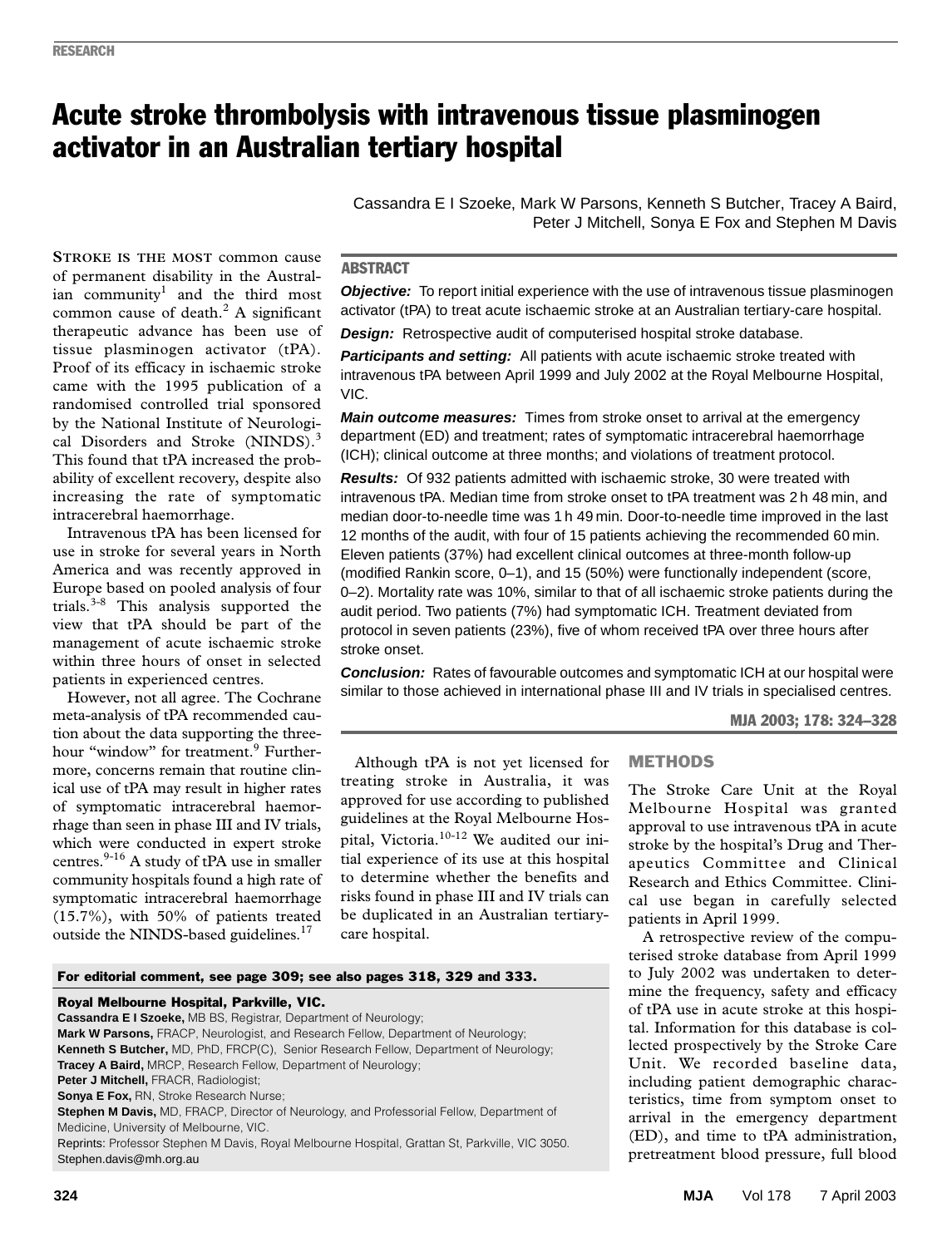# Acute stroke thrombolysis with intravenous tissue plasminogen activator in an Australian tertiary hospital

Cassandra E I Szoeke, Mark W Parsons, Kenneth S Butcher, Tracey A Baird, Peter J Mitchell, Sonya E Fox and Stephen M Davis

## **ABSTRACT**

**Objective:** To report initial experience with the use of intravenous tissue plasminogen activator (tPA) to treat acute ischaemic stroke at an Australian tertiary-care hospital.

**Design:** Retrospective audit of computerised hospital stroke database.

**Participants and setting:** All patients with acute ischaemic stroke treated with intravenous tPA between April 1999 and July 2002 at the Royal Melbourne Hospital, VIC.

**Main outcome measures:** Times from stroke onset to arrival at the emergency department (ED) and treatment; rates of symptomatic intracerebral haemorrhage (ICH); clinical outcome at three months; and violations of treatment protocol.

**Results:** Of 932 patients admitted with ischaemic stroke, 30 were treated with intravenous tPA. Median time from stroke onset to tPA treatment was 2 h 48 min, and median door-to-needle time was 1 h 49 min. Door-to-needle time improved in the last 12 months of the audit, with four of 15 patients achieving the recommended 60 min. Eleven patients (37%) had excellent clinical outcomes at three-month follow-up (modified Rankin score, 0–1), and 15 (50%) were functionally independent (score, 0–2). Mortality rate was 10%, similar to that of all ischaemic stroke patients during the audit period. Two patients (7%) had symptomatic ICH. Treatment deviated from protocol in seven patients (23%), five of whom received tPA over three hours after stroke onset.

**Conclusion:** Rates of favourable outcomes and symptomatic ICH at our hospital were similar to those achieved in international phase III and IV trials in specialised centres.

MJA 2003; 178: 324–328

Although tPA is not yet licensed for treating stroke in Australia, it was approved for use according to published guidelines at the Royal Melbourne Hospital, Victoria.10-12 We audited our initial experience of its use at this hospital to determine whether the benefits and risks found in phase III and IV trials can be duplicated in an Australian tertiarycare hospital.

# METHODS

The Stroke Care Unit at the Royal Melbourne Hospital was granted approval to use intravenous tPA in acute stroke by the hospital's Drug and Therapeutics Committee and Clinical Research and Ethics Committee. Clinical use began in carefully selected patients in April 1999.

A retrospective review of the computerised stroke database from April 1999 to July 2002 was undertaken to determine the frequency, safety and efficacy of tPA use in acute stroke at this hospital. Information for this database is collected prospectively by the Stroke Care Unit. We recorded baseline data, including patient demographic characteristics, time from symptom onset to arrival in the emergency department (ED), and time to tPA administration, pretreatment blood pressure, full blood

 $\frac{1}{\sqrt{2}}$  and the time most common cause of death.<sup>2</sup> A significant therapeutic advance has been use of tissue plasminogen activator (tPA). Proof of its efficacy in ischaemic stroke **STROKE IS THE MOST** common cause of permanent disability in the Australian community<sup>1</sup> and the third most came with the 1995 publication of a randomised controlled trial sponsored by the National Institute of Neurological Disorders and Stroke (NINDS).<sup>3</sup> This found that tPA increased the probability of excellent recovery, despite also increasing the rate of symptomatic intracerebral haemorrhage.

Intravenous tPA has been licensed for use in stroke for several years in North America and was recently approved in Europe based on pooled analysis of four trials. $3-8$  This analysis supported the view that tPA should be part of the management of acute ischaemic stroke within three hours of onset in selected patients in experienced centres.

However, not all agree. The Cochrane meta-analysis of tPA recommended caution about the data supporting the threehour "window" for treatment.<sup>9</sup> Furthermore, concerns remain that routine clinical use of tPA may result in higher rates of symptomatic intracerebral haemorrhage than seen in phase III and IV trials, which were conducted in expert stroke centres.<sup>9-16</sup> A study of tPA use in smaller community hospitals found a high rate of symptomatic intracerebral haemorrhage (15.7%), with 50% of patients treated outside the NINDS-based guidelines.<sup>17</sup>

For editorial comment, see page 309; see also pages 318, 329 and 333.

#### Royal Melbourne Hospital, Parkville, VIC.

**Cassandra E I Szoeke,** MB BS, Registrar, Department of Neurology; **Mark W Parsons,** FRACP, Neurologist, and Research Fellow, Department of Neurology; **Kenneth S Butcher,** MD, PhD, FRCP(C), Senior Research Fellow, Department of Neurology; **Tracey A Baird,** MRCP, Research Fellow, Department of Neurology; **Peter J Mitchell,** FRACR, Radiologist; **Sonya E Fox,** RN, Stroke Research Nurse; **Stephen M Davis,** MD, FRACP, Director of Neurology, and Professorial Fellow, Department of Medicine, University of Melbourne, VIC.

Reprints: Professor Stephen M Davis, Royal Melbourne Hospital, Grattan St, Parkville, VIC 3050. Stephen.davis@mh.org.au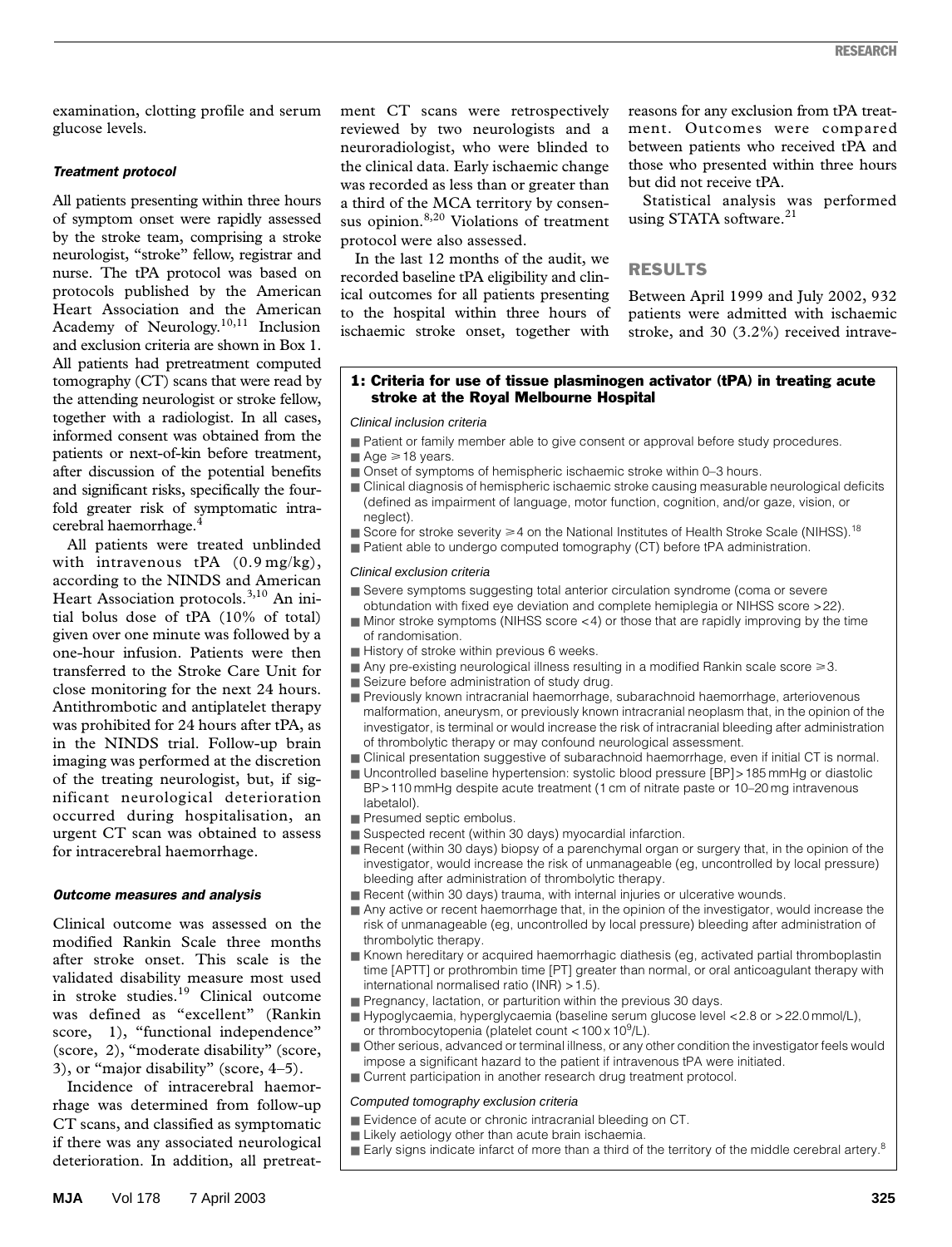examination, clotting profile and serum glucose levels.

## *Treatment protocol*

All patients presenting within three hours of symptom onset were rapidly assessed by the stroke team, comprising a stroke neurologist, "stroke" fellow, registrar and nurse. The tPA protocol was based on protocols published by the American Heart Association and the American Academy of Neurology.<sup>10,11</sup> Inclusion and exclusion criteria are shown in Box 1. All patients had pretreatment computed tomography (CT) scans that were read by the attending neurologist or stroke fellow, together with a radiologist. In all cases, informed consent was obtained from the patients or next-of-kin before treatment, after discussion of the potential benefits and significant risks, specifically the fourfold greater risk of symptomatic intracerebral haemorrhage.<sup>4</sup>

All patients were treated unblinded with intravenous tPA  $(0.9 \text{ mg/kg})$ , according to the NINDS and American Heart Association protocols.<sup>3,10</sup> An initial bolus dose of tPA (10% of total) given over one minute was followed by a one-hour infusion. Patients were then transferred to the Stroke Care Unit for close monitoring for the next 24 hours. Antithrombotic and antiplatelet therapy was prohibited for 24 hours after tPA, as in the NINDS trial. Follow-up brain imaging was performed at the discretion of the treating neurologist, but, if significant neurological deterioration occurred during hospitalisation, an urgent CT scan was obtained to assess for intracerebral haemorrhage.

#### *Outcome measures and analysis*

Clinical outcome was assessed on the modified Rankin Scale three months after stroke onset. This scale is the validated disability measure most used in stroke studies.<sup>19</sup> Clinical outcome was defined as "excellent" (Rankin score, 1), "functional independence" (score, 2), "moderate disability" (score, 3), or "major disability" (score, 4–5).

Incidence of intracerebral haemorrhage was determined from follow-up CT scans, and classified as symptomatic if there was any associated neurological deterioration. In addition, all pretreatment CT scans were retrospectively reviewed by two neurologists and a neuroradiologist, who were blinded to the clinical data. Early ischaemic change was recorded as less than or greater than a third of the MCA territory by consensus opinion.<sup>8,20</sup> Violations of treatment protocol were also assessed.

In the last 12 months of the audit, we recorded baseline tPA eligibility and clinical outcomes for all patients presenting to the hospital within three hours of ischaemic stroke onset, together with

reasons for any exclusion from tPA treatment. Outcomes were compared between patients who received tPA and those who presented within three hours but did not receive tPA.

Statistical analysis was performed using STATA software.<sup>21</sup>

# RESULTS

Between April 1999 and July 2002, 932 patients were admitted with ischaemic stroke, and 30 (3.2%) received intrave-

### 1: Criteria for use of tissue plasminogen activator (tPA) in treating acute stroke at the Royal Melbourne Hospital

#### Clinical inclusion criteria

■ Patient or family member able to give consent or approval before study procedures.

# $\blacksquare$  Age  $\geq$  18 years.

- Onset of symptoms of hemispheric ischaemic stroke within 0–3 hours.
- Clinical diagnosis of hemispheric ischaemic stroke causing measurable neurological deficits (defined as impairment of language, motor function, cognition, and/or gaze, vision, or neglect).
- Score for stroke severity  $\geq 4$  on the National Institutes of Health Stroke Scale (NIHSS).<sup>18</sup>
- Patient able to undergo computed tomography (CT) before tPA administration.

#### Clinical exclusion criteria

- Severe symptoms suggesting total anterior circulation syndrome (coma or severe obtundation with fixed eye deviation and complete hemiplegia or NIHSS score >22).
- Minor stroke symptoms (NIHSS score <4) or those that are rapidly improving by the time of randomisation.
- History of stroke within previous 6 weeks.
- $\blacksquare$  Any pre-existing neurological illness resulting in a modified Rankin scale score  $\geq 3$ .
- Seizure before administration of study drug.
- Previously known intracranial haemorrhage, subarachnoid haemorrhage, arteriovenous malformation, aneurysm, or previously known intracranial neoplasm that, in the opinion of the investigator, is terminal or would increase the risk of intracranial bleeding after administration of thrombolytic therapy or may confound neurological assessment.
- Clinical presentation suggestive of subarachnoid haemorrhage, even if initial CT is normal.
- Uncontrolled baseline hypertension: systolic blood pressure [BP] > 185 mmHg or diastolic BP>110 mmHg despite acute treatment (1 cm of nitrate paste or 10–20 mg intravenous labetalol).
- Presumed septic embolus.
- Suspected recent (within 30 days) myocardial infarction.
- Recent (within 30 days) biopsy of a parenchymal organ or surgery that, in the opinion of the investigator, would increase the risk of unmanageable (eg, uncontrolled by local pressure) bleeding after administration of thrombolytic therapy.
- Recent (within 30 days) trauma, with internal injuries or ulcerative wounds.
- Any active or recent haemorrhage that, in the opinion of the investigator, would increase the risk of unmanageable (eg, uncontrolled by local pressure) bleeding after administration of thrombolytic therapy.
- Known hereditary or acquired haemorrhagic diathesis (eg, activated partial thromboplastin time [APTT] or prothrombin time [PT] greater than normal, or oral anticoagulant therapy with international normalised ratio (INR) >1.5).
- Pregnancy, lactation, or parturition within the previous 30 days.
- Hypoglycaemia, hyperglycaemia (baseline serum glucose level <2.8 or >22.0 mmol/L), or thrombocytopenia (platelet count < 100 x 10<sup>9</sup>/L).
- Other serious, advanced or terminal illness, or any other condition the investigator feels would impose a significant hazard to the patient if intravenous tPA were initiated.
- Current participation in another research drug treatment protocol.

#### Computed tomography exclusion criteria

- Evidence of acute or chronic intracranial bleeding on CT.
- Likely aetiology other than acute brain ischaemia.
- $\blacksquare$  Early signs indicate infarct of more than a third of the territory of the middle cerebral artery.<sup>8</sup>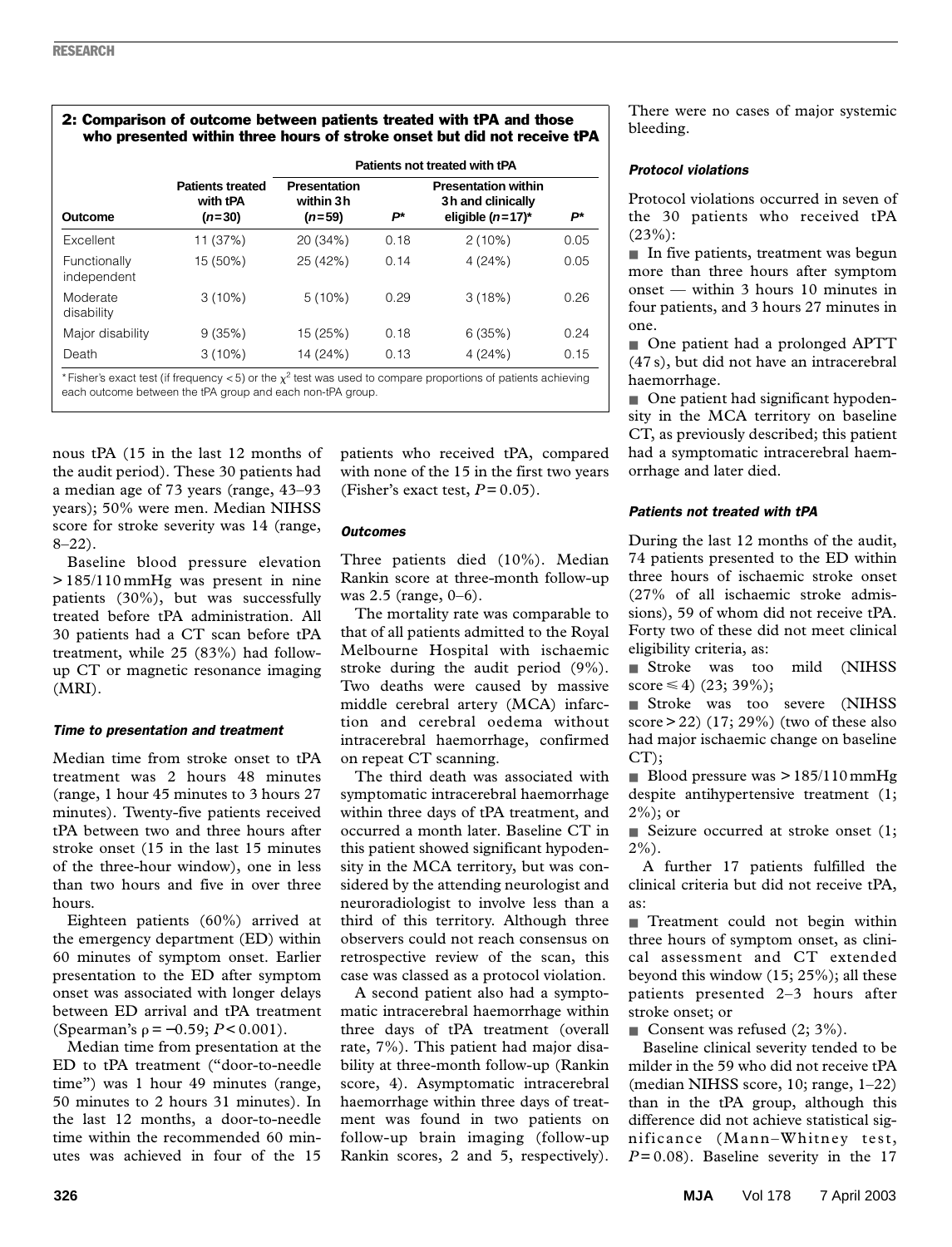# 2: Comparison of outcome between patients treated with tPA and those who presented within three hours of stroke onset but did not receive tPA

|                             |                                                 | Patients not treated with tPA                |      |                                                                        |      |
|-----------------------------|-------------------------------------------------|----------------------------------------------|------|------------------------------------------------------------------------|------|
| Outcome                     | <b>Patients treated</b><br>with tPA<br>$(n=30)$ | <b>Presentation</b><br>within 3h<br>$(n=59)$ | P*   | <b>Presentation within</b><br>3h and clinically<br>eligible $(n=17)^*$ | P*   |
| <b>Excellent</b>            | 11 (37%)                                        | 20 (34%)                                     | 0.18 | 2(10%)                                                                 | 0.05 |
| Functionally<br>independent | 15 (50%)                                        | 25 (42%)                                     | 0.14 | 4(24%)                                                                 | 0.05 |
| Moderate<br>disability      | $3(10\%)$                                       | $5(10\%)$                                    | 0.29 | 3(18%)                                                                 | 0.26 |
| Major disability            | 9(35%)                                          | 15 (25%)                                     | 0.18 | 6(35%)                                                                 | 0.24 |
| Death                       | $3(10\%)$                                       | 14 (24%)                                     | 0.13 | 4(24%)                                                                 | 0.15 |

\* Fisher's exact test (if frequency < 5) or the  $\chi^2$  test was used to compare proportions of patients achieving each outcome between the tPA group and each non-tPA group.

nous tPA (15 in the last 12 months of the audit period). These 30 patients had a median age of 73 years (range, 43–93 years); 50% were men. Median NIHSS score for stroke severity was 14 (range, 8–22).

Baseline blood pressure elevation > 185/110 mmHg was present in nine patients (30%), but was successfully treated before tPA administration. All 30 patients had a CT scan before tPA treatment, while 25 (83%) had followup CT or magnetic resonance imaging (MRI).

## *Time to presentation and treatment*

Median time from stroke onset to tPA treatment was 2 hours 48 minutes (range, 1 hour 45 minutes to 3 hours 27 minutes). Twenty-five patients received tPA between two and three hours after stroke onset (15 in the last 15 minutes of the three-hour window), one in less than two hours and five in over three hours.

Eighteen patients (60%) arrived at the emergency department (ED) within 60 minutes of symptom onset. Earlier presentation to the ED after symptom onset was associated with longer delays between ED arrival and tPA treatment (Spearman's  $\rho = -0.59; P < 0.001$ ).

Median time from presentation at the ED to tPA treatment ("door-to-needle time") was 1 hour 49 minutes (range, 50 minutes to 2 hours 31 minutes). In the last 12 months, a door-to-needle time within the recommended 60 minutes was achieved in four of the 15

patients who received tPA, compared with none of the 15 in the first two years (Fisher's exact test,  $P = 0.05$ ).

#### *Outcomes*

Three patients died (10%). Median Rankin score at three-month follow-up was 2.5 (range, 0–6).

The mortality rate was comparable to that of all patients admitted to the Royal Melbourne Hospital with ischaemic stroke during the audit period (9%). Two deaths were caused by massive middle cerebral artery (MCA) infarction and cerebral oedema without intracerebral haemorrhage, confirmed on repeat CT scanning.

The third death was associated with symptomatic intracerebral haemorrhage within three days of tPA treatment, and occurred a month later. Baseline CT in this patient showed significant hypodensity in the MCA territory, but was considered by the attending neurologist and neuroradiologist to involve less than a third of this territory. Although three observers could not reach consensus on retrospective review of the scan, this case was classed as a protocol violation.

A second patient also had a symptomatic intracerebral haemorrhage within three days of tPA treatment (overall rate, 7%). This patient had major disability at three-month follow-up (Rankin score, 4). Asymptomatic intracerebral haemorrhage within three days of treatment was found in two patients on follow-up brain imaging (follow-up Rankin scores, 2 and 5, respectively).

There were no cases of major systemic bleeding.

## *Protocol violations*

Protocol violations occurred in seven of the 30 patients who received tPA  $(23%)$ :

■ In five patients, treatment was begun more than three hours after symptom onset — within 3 hours 10 minutes in four patients, and 3 hours 27 minutes in one.

■ One patient had a prolonged APTT (47 s), but did not have an intracerebral haemorrhage.

■ One patient had significant hypodensity in the MCA territory on baseline CT, as previously described; this patient had a symptomatic intracerebral haemorrhage and later died.

## *Patients not treated with tPA*

During the last 12 months of the audit, 74 patients presented to the ED within three hours of ischaemic stroke onset (27% of all ischaemic stroke admissions), 59 of whom did not receive tPA. Forty two of these did not meet clinical eligibility criteria, as:

■ Stroke was too mild (NIHSS score  $\leq 4$ ) (23; 39%);

■ Stroke was too severe (NIHSS score  $> 22$ ) (17; 29%) (two of these also had major ischaemic change on baseline CT);

■ Blood pressure was  $> 185/110$  mmHg despite antihypertensive treatment (1;  $2\%$ ; or

■ Seizure occurred at stroke onset (1; 2%).

A further 17 patients fulfilled the clinical criteria but did not receive tPA, as:

■ Treatment could not begin within three hours of symptom onset, as clinical assessment and CT extended beyond this window (15; 25%); all these patients presented 2–3 hours after stroke onset; or

■ Consent was refused  $(2, 3\%)$ .

Baseline clinical severity tended to be milder in the 59 who did not receive tPA (median NIHSS score, 10; range, 1–22) than in the tPA group, although this difference did not achieve statistical significance (Mann–Whitney test,  $P = 0.08$ ). Baseline severity in the 17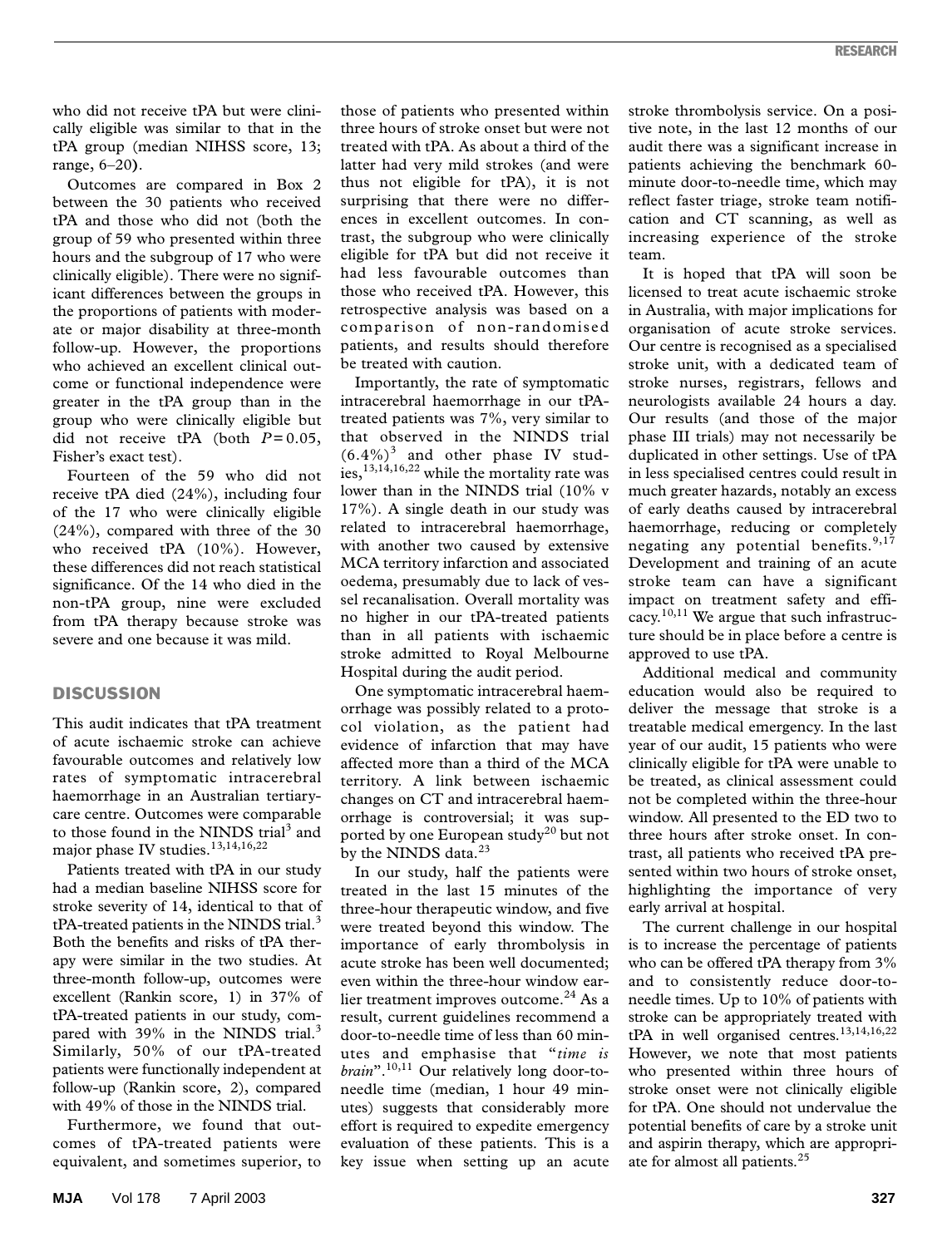who did not receive tPA but were clinically eligible was similar to that in the tPA group (median NIHSS score, 13; range, 6–20**)**.

Outcomes are compared in Box 2 between the 30 patients who received tPA and those who did not (both the group of 59 who presented within three hours and the subgroup of 17 who were clinically eligible). There were no significant differences between the groups in the proportions of patients with moderate or major disability at three-month follow-up. However, the proportions who achieved an excellent clinical outcome or functional independence were greater in the tPA group than in the group who were clinically eligible but did not receive tPA (both  $P = 0.05$ , Fisher's exact test).

Fourteen of the 59 who did not receive tPA died (24%), including four of the 17 who were clinically eligible (24%), compared with three of the 30 who received tPA (10%). However, these differences did not reach statistical significance. Of the 14 who died in the non-tPA group, nine were excluded from tPA therapy because stroke was severe and one because it was mild.

## **DISCUSSION**

This audit indicates that tPA treatment of acute ischaemic stroke can achieve favourable outcomes and relatively low rates of symptomatic intracerebral haemorrhage in an Australian tertiarycare centre. Outcomes were comparable to those found in the NINDS trial<sup>3</sup> and major phase IV studies.<sup>13,14,16,22</sup>

Patients treated with tPA in our study had a median baseline NIHSS score for stroke severity of 14, identical to that of  $tPA$ -treated patients in the NINDS trial.<sup>3</sup> Both the benefits and risks of tPA therapy were similar in the two studies. At three-month follow-up, outcomes were excellent (Rankin score, 1) in 37% of tPA-treated patients in our study, compared with 39% in the NINDS trial.<sup>3</sup> Similarly, 50% of our tPA-treated patients were functionally independent at follow-up (Rankin score, 2), compared with 49% of those in the NINDS trial.

Furthermore, we found that outcomes of tPA-treated patients were equivalent, and sometimes superior, to those of patients who presented within three hours of stroke onset but were not treated with tPA. As about a third of the latter had very mild strokes (and were thus not eligible for tPA), it is not surprising that there were no differences in excellent outcomes. In contrast, the subgroup who were clinically eligible for tPA but did not receive it had less favourable outcomes than those who received tPA. However, this retrospective analysis was based on a comparison of non-randomised patients, and results should therefore be treated with caution.

Importantly, the rate of symptomatic intracerebral haemorrhage in our tPAtreated patients was 7%, very similar to that observed in the NINDS trial  $(6.4\%)$ <sup>3</sup> and other phase IV studies, $13,14,16,22$  while the mortality rate was lower than in the NINDS trial (10% v 17%). A single death in our study was related to intracerebral haemorrhage, with another two caused by extensive MCA territory infarction and associated oedema, presumably due to lack of vessel recanalisation. Overall mortality was no higher in our tPA-treated patients than in all patients with ischaemic stroke admitted to Royal Melbourne Hospital during the audit period.

One symptomatic intracerebral haemorrhage was possibly related to a protocol violation, as the patient had evidence of infarction that may have affected more than a third of the MCA territory. A link between ischaemic changes on CT and intracerebral haemorrhage is controversial; it was supported by one European study<sup>20</sup> but not by the NINDS data.<sup>23</sup>

In our study, half the patients were treated in the last 15 minutes of the three-hour therapeutic window, and five were treated beyond this window. The importance of early thrombolysis in acute stroke has been well documented; even within the three-hour window earlier treatment improves outcome.<sup>24</sup> As a result, current guidelines recommend a door-to-needle time of less than 60 minutes and emphasise that "*time is brain*".10,11 Our relatively long door-toneedle time (median, 1 hour 49 minutes) suggests that considerably more effort is required to expedite emergency evaluation of these patients. This is a key issue when setting up an acute

stroke thrombolysis service. On a positive note, in the last 12 months of our audit there was a significant increase in patients achieving the benchmark 60 minute door-to-needle time, which may reflect faster triage, stroke team notification and CT scanning, as well as increasing experience of the stroke team.

It is hoped that tPA will soon be licensed to treat acute ischaemic stroke in Australia, with major implications for organisation of acute stroke services. Our centre is recognised as a specialised stroke unit, with a dedicated team of stroke nurses, registrars, fellows and neurologists available 24 hours a day. Our results (and those of the major phase III trials) may not necessarily be duplicated in other settings. Use of tPA in less specialised centres could result in much greater hazards, notably an excess of early deaths caused by intracerebral haemorrhage, reducing or completely negating any potential benefits.<sup>9,17</sup> Development and training of an acute stroke team can have a significant impact on treatment safety and efficacy.<sup>10,11</sup> We argue that such infrastructure should be in place before a centre is approved to use tPA.

Additional medical and community education would also be required to deliver the message that stroke is a treatable medical emergency. In the last year of our audit, 15 patients who were clinically eligible for tPA were unable to be treated, as clinical assessment could not be completed within the three-hour window. All presented to the ED two to three hours after stroke onset. In contrast, all patients who received tPA presented within two hours of stroke onset, highlighting the importance of very early arrival at hospital.

The current challenge in our hospital is to increase the percentage of patients who can be offered tPA therapy from 3% and to consistently reduce door-toneedle times. Up to 10% of patients with stroke can be appropriately treated with tPA in well organised centres.<sup>13,14,16,22</sup> However, we note that most patients who presented within three hours of stroke onset were not clinically eligible for tPA. One should not undervalue the potential benefits of care by a stroke unit and aspirin therapy, which are appropriate for almost all patients.25